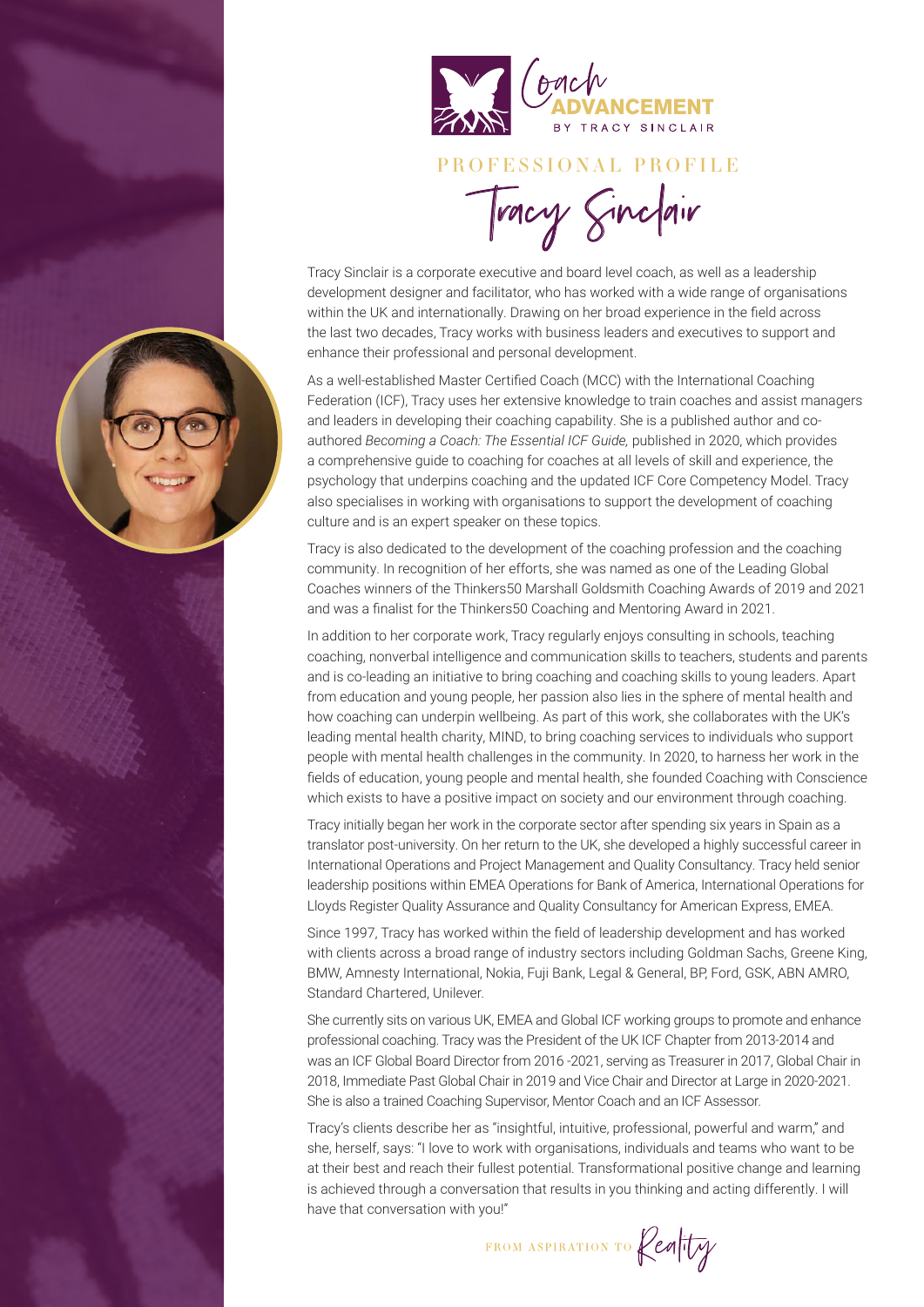

#### PROFESSIONAL PROFILE

Tracy Sinclair

Tracy Sinclair is a corporate executive and board level coach, as well as a leadership development designer and facilitator, who has worked with a wide range of organisations within the UK and internationally. Drawing on her broad experience in the field across the last two decades, Tracy works with business leaders and executives to support and enhance their professional and personal development.

As a well-established Master Certified Coach (MCC) with the International Coaching Federation (ICF), Tracy uses her extensive knowledge to train coaches and assist managers and leaders in developing their coaching capability. She is a published author and coauthored *Becoming a Coach: The Essential ICF Guide,* published in 2020, which provides a comprehensive guide to coaching for coaches at all levels of skill and experience, the psychology that underpins coaching and the updated ICF Core Competency Model. Tracy also specialises in working with organisations to support the development of coaching culture and is an expert speaker on these topics.

Tracy is also dedicated to the development of the coaching profession and the coaching community. In recognition of her efforts, she was named as one of the Leading Global Coaches winners of the Thinkers50 Marshall Goldsmith Coaching Awards of 2019 and 2021 and was a finalist for the Thinkers50 Coaching and Mentoring Award in 2021.

In addition to her corporate work, Tracy regularly enjoys consulting in schools, teaching coaching, nonverbal intelligence and communication skills to teachers, students and parents and is co-leading an initiative to bring coaching and coaching skills to young leaders. Apart from education and young people, her passion also lies in the sphere of mental health and how coaching can underpin wellbeing. As part of this work, she collaborates with the UK's leading mental health charity, MIND, to bring coaching services to individuals who support people with mental health challenges in the community. In 2020, to harness her work in the fields of education, young people and mental health, she founded Coaching with Conscience which exists to have a positive impact on society and our environment through coaching.

Tracy initially began her work in the corporate sector after spending six years in Spain as a translator post-university. On her return to the UK, she developed a highly successful career in International Operations and Project Management and Quality Consultancy. Tracy held senior leadership positions within EMEA Operations for Bank of America, International Operations for Lloyds Register Quality Assurance and Quality Consultancy for American Express, EMEA.

Since 1997, Tracy has worked within the field of leadership development and has worked with clients across a broad range of industry sectors including Goldman Sachs, Greene King, BMW, Amnesty International, Nokia, Fuji Bank, Legal & General, BP, Ford, GSK, ABN AMRO, Standard Chartered, Unilever.

She currently sits on various UK, EMEA and Global ICF working groups to promote and enhance professional coaching. Tracy was the President of the UK ICF Chapter from 2013-2014 and was an ICF Global Board Director from 2016 -2021, serving as Treasurer in 2017, Global Chair in 2018, Immediate Past Global Chair in 2019 and Vice Chair and Director at Large in 2020-2021. She is also a trained Coaching Supervisor, Mentor Coach and an ICF Assessor.

Tracy's clients describe her as "insightful, intuitive, professional, powerful and warm," and she, herself, says: "I love to work with organisations, individuals and teams who want to be at their best and reach their fullest potential. Transformational positive change and learning is achieved through a conversation that results in you thinking and acting differently. I will have that conversation with you!"

FROM ASPIRATION TO Renty